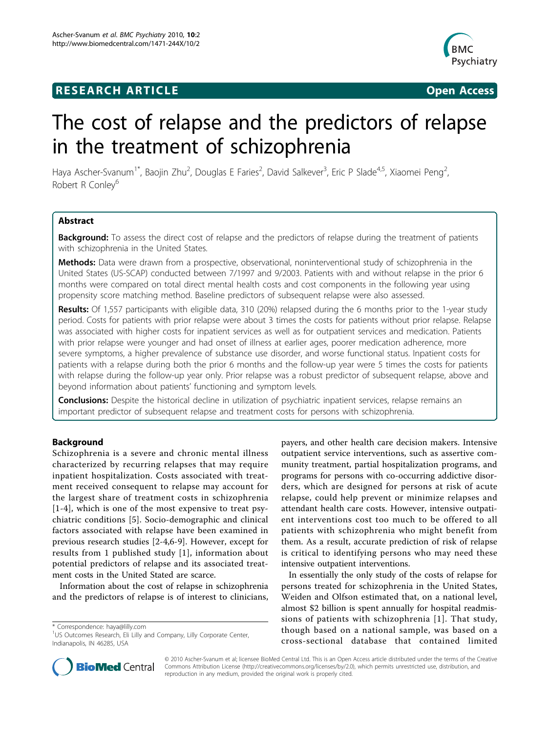# **RESEARCH ARTICLE Example 2018 12:00 Department of the CONNECTION CONNECTION CONNECTION**



# The cost of relapse and the predictors of relapse in the treatment of schizophrenia

Haya Ascher-Svanum<sup>1\*</sup>, Baojin Zhu<sup>2</sup>, Douglas E Faries<sup>2</sup>, David Salkever<sup>3</sup>, Eric P Slade<sup>4,5</sup>, Xiaomei Peng<sup>2</sup> , Robert R Conley<sup>6</sup>

# Abstract

Background: To assess the direct cost of relapse and the predictors of relapse during the treatment of patients with schizophrenia in the United States.

Methods: Data were drawn from a prospective, observational, noninterventional study of schizophrenia in the United States (US-SCAP) conducted between 7/1997 and 9/2003. Patients with and without relapse in the prior 6 months were compared on total direct mental health costs and cost components in the following year using propensity score matching method. Baseline predictors of subsequent relapse were also assessed.

Results: Of 1,557 participants with eligible data, 310 (20%) relapsed during the 6 months prior to the 1-year study period. Costs for patients with prior relapse were about 3 times the costs for patients without prior relapse. Relapse was associated with higher costs for inpatient services as well as for outpatient services and medication. Patients with prior relapse were younger and had onset of illness at earlier ages, poorer medication adherence, more severe symptoms, a higher prevalence of substance use disorder, and worse functional status. Inpatient costs for patients with a relapse during both the prior 6 months and the follow-up year were 5 times the costs for patients with relapse during the follow-up year only. Prior relapse was a robust predictor of subsequent relapse, above and beyond information about patients' functioning and symptom levels.

**Conclusions:** Despite the historical decline in utilization of psychiatric inpatient services, relapse remains an important predictor of subsequent relapse and treatment costs for persons with schizophrenia.

# Background

Schizophrenia is a severe and chronic mental illness characterized by recurring relapses that may require inpatient hospitalization. Costs associated with treatment received consequent to relapse may account for the largest share of treatment costs in schizophrenia [[1](#page-6-0)-[4\]](#page-6-0), which is one of the most expensive to treat psychiatric conditions [[5\]](#page-6-0). Socio-demographic and clinical factors associated with relapse have been examined in previous research studies [\[2](#page-6-0)-[4,6-9](#page-6-0)]. However, except for results from 1 published study [[1](#page-6-0)], information about potential predictors of relapse and its associated treatment costs in the United Stated are scarce.

Information about the cost of relapse in schizophrenia and the predictors of relapse is of interest to clinicians,

\* Correspondence: [haya@lilly.com](mailto:haya@lilly.com)

payers, and other health care decision makers. Intensive outpatient service interventions, such as assertive community treatment, partial hospitalization programs, and programs for persons with co-occurring addictive disorders, which are designed for persons at risk of acute relapse, could help prevent or minimize relapses and attendant health care costs. However, intensive outpatient interventions cost too much to be offered to all patients with schizophrenia who might benefit from them. As a result, accurate prediction of risk of relapse is critical to identifying persons who may need these intensive outpatient interventions.

In essentially the only study of the costs of relapse for persons treated for schizophrenia in the United States, Weiden and Olfson estimated that, on a national level, almost \$2 billion is spent annually for hospital readmissions of patients with schizophrenia [[1](#page-6-0)]. That study, though based on a national sample, was based on a cross-sectional database that contained limited



© 2010 Ascher-Svanum et al; licensee BioMed Central Ltd. This is an Open Access article distributed under the terms of the Creative Commons Attribution License [\(http://creativecommons.org/licenses/by/2.0](http://creativecommons.org/licenses/by/2.0)), which permits unrestricted use, distribution, and reproduction in any medium, provided the original work is properly cited.

<sup>&</sup>lt;sup>1</sup>US Outcomes Research, Eli Lilly and Company, Lilly Corporate Center, Indianapolis, IN 46285, USA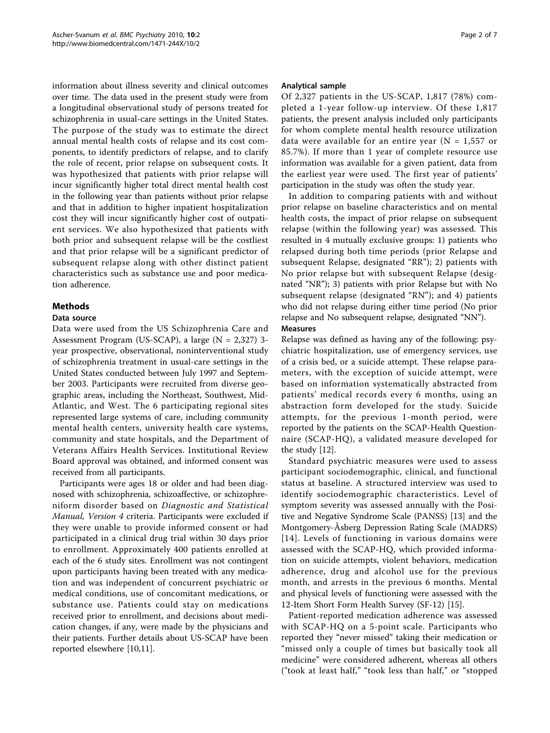information about illness severity and clinical outcomes over time. The data used in the present study were from a longitudinal observational study of persons treated for schizophrenia in usual-care settings in the United States. The purpose of the study was to estimate the direct annual mental health costs of relapse and its cost components, to identify predictors of relapse, and to clarify the role of recent, prior relapse on subsequent costs. It was hypothesized that patients with prior relapse will incur significantly higher total direct mental health cost in the following year than patients without prior relapse and that in addition to higher inpatient hospitalization cost they will incur significantly higher cost of outpatient services. We also hypothesized that patients with both prior and subsequent relapse will be the costliest and that prior relapse will be a significant predictor of subsequent relapse along with other distinct patient characteristics such as substance use and poor medication adherence.

# **Methods**

#### Data source

Data were used from the US Schizophrenia Care and Assessment Program (US-SCAP), a large (N = 2,327) 3 year prospective, observational, noninterventional study of schizophrenia treatment in usual-care settings in the United States conducted between July 1997 and September 2003. Participants were recruited from diverse geographic areas, including the Northeast, Southwest, Mid-Atlantic, and West. The 6 participating regional sites represented large systems of care, including community mental health centers, university health care systems, community and state hospitals, and the Department of Veterans Affairs Health Services. Institutional Review Board approval was obtained, and informed consent was received from all participants.

Participants were ages 18 or older and had been diagnosed with schizophrenia, schizoaffective, or schizophreniform disorder based on Diagnostic and Statistical Manual, Version 4 criteria. Participants were excluded if they were unable to provide informed consent or had participated in a clinical drug trial within 30 days prior to enrollment. Approximately 400 patients enrolled at each of the 6 study sites. Enrollment was not contingent upon participants having been treated with any medication and was independent of concurrent psychiatric or medical conditions, use of concomitant medications, or substance use. Patients could stay on medications received prior to enrollment, and decisions about medication changes, if any, were made by the physicians and their patients. Further details about US-SCAP have been reported elsewhere [[10](#page-6-0),[11](#page-6-0)].

#### Analytical sample

Of 2,327 patients in the US-SCAP, 1,817 (78%) completed a 1-year follow-up interview. Of these 1,817 patients, the present analysis included only participants for whom complete mental health resource utilization data were available for an entire year ( $N = 1,557$  or 85.7%). If more than 1 year of complete resource use information was available for a given patient, data from the earliest year were used. The first year of patients' participation in the study was often the study year.

In addition to comparing patients with and without prior relapse on baseline characteristics and on mental health costs, the impact of prior relapse on subsequent relapse (within the following year) was assessed. This resulted in 4 mutually exclusive groups: 1) patients who relapsed during both time periods (prior Relapse and subsequent Relapse, designated "RR"); 2) patients with No prior relapse but with subsequent Relapse (designated "NR"); 3) patients with prior Relapse but with No subsequent relapse (designated "RN"); and 4) patients who did not relapse during either time period (No prior relapse and No subsequent relapse, designated "NN"). Measures

Relapse was defined as having any of the following: psychiatric hospitalization, use of emergency services, use of a crisis bed, or a suicide attempt. These relapse parameters, with the exception of suicide attempt, were based on information systematically abstracted from patients' medical records every 6 months, using an abstraction form developed for the study. Suicide attempts, for the previous 1-month period, were reported by the patients on the SCAP-Health Questionnaire (SCAP-HQ), a validated measure developed for the study [[12\]](#page-6-0).

Standard psychiatric measures were used to assess participant sociodemographic, clinical, and functional status at baseline. A structured interview was used to identify sociodemographic characteristics. Level of symptom severity was assessed annually with the Positive and Negative Syndrome Scale (PANSS) [\[13\]](#page-6-0) and the Montgomery-Åsberg Depression Rating Scale (MADRS) [[14\]](#page-6-0). Levels of functioning in various domains were assessed with the SCAP-HQ, which provided information on suicide attempts, violent behaviors, medication adherence, drug and alcohol use for the previous month, and arrests in the previous 6 months. Mental and physical levels of functioning were assessed with the 12-Item Short Form Health Survey (SF-12) [[15\]](#page-6-0).

Patient-reported medication adherence was assessed with SCAP-HQ on a 5-point scale. Participants who reported they "never missed" taking their medication or "missed only a couple of times but basically took all medicine" were considered adherent, whereas all others ("took at least half," "took less than half," or "stopped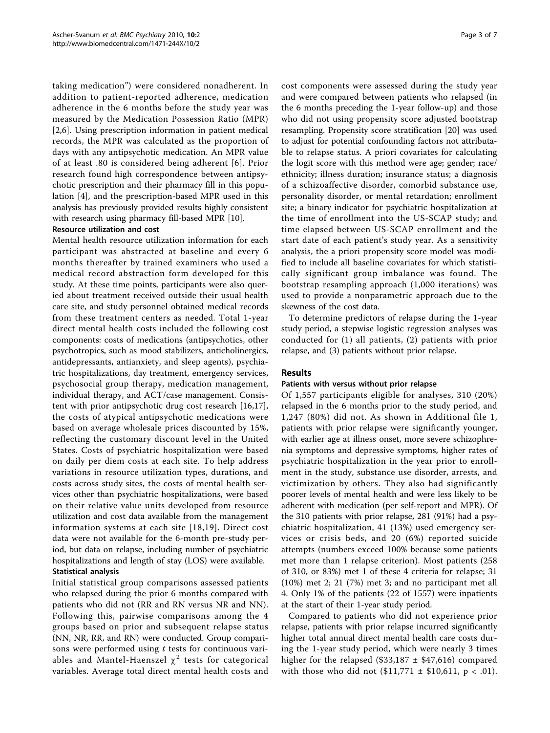taking medication") were considered nonadherent. In addition to patient-reported adherence, medication adherence in the 6 months before the study year was measured by the Medication Possession Ratio (MPR) [[2,6](#page-6-0)]. Using prescription information in patient medical records, the MPR was calculated as the proportion of days with any antipsychotic medication. An MPR value of at least .80 is considered being adherent [[6](#page-6-0)]. Prior research found high correspondence between antipsychotic prescription and their pharmacy fill in this population [\[4](#page-6-0)], and the prescription-based MPR used in this analysis has previously provided results highly consistent with research using pharmacy fill-based MPR [[10\]](#page-6-0).

### Resource utilization and cost

Mental health resource utilization information for each participant was abstracted at baseline and every 6 months thereafter by trained examiners who used a medical record abstraction form developed for this study. At these time points, participants were also queried about treatment received outside their usual health care site, and study personnel obtained medical records from these treatment centers as needed. Total 1-year direct mental health costs included the following cost components: costs of medications (antipsychotics, other psychotropics, such as mood stabilizers, anticholinergics, antidepressants, antianxiety, and sleep agents), psychiatric hospitalizations, day treatment, emergency services, psychosocial group therapy, medication management, individual therapy, and ACT/case management. Consistent with prior antipsychotic drug cost research [\[16,17](#page-6-0)], the costs of atypical antipsychotic medications were based on average wholesale prices discounted by 15%, reflecting the customary discount level in the United States. Costs of psychiatric hospitalization were based on daily per diem costs at each site. To help address variations in resource utilization types, durations, and costs across study sites, the costs of mental health services other than psychiatric hospitalizations, were based on their relative value units developed from resource utilization and cost data available from the management information systems at each site [[18](#page-6-0),[19](#page-6-0)]. Direct cost data were not available for the 6-month pre-study period, but data on relapse, including number of psychiatric hospitalizations and length of stay (LOS) were available. Statistical analysis

Initial statistical group comparisons assessed patients who relapsed during the prior 6 months compared with patients who did not (RR and RN versus NR and NN). Following this, pairwise comparisons among the 4 groups based on prior and subsequent relapse status (NN, NR, RR, and RN) were conducted. Group comparisons were performed using  $t$  tests for continuous variables and Mantel-Haenszel  $\chi^2$  tests for categorical variables. Average total direct mental health costs and cost components were assessed during the study year and were compared between patients who relapsed (in the 6 months preceding the 1-year follow-up) and those who did not using propensity score adjusted bootstrap resampling. Propensity score stratification [[20\]](#page-6-0) was used to adjust for potential confounding factors not attributable to relapse status. A priori covariates for calculating the logit score with this method were age; gender; race/ ethnicity; illness duration; insurance status; a diagnosis of a schizoaffective disorder, comorbid substance use, personality disorder, or mental retardation; enrollment site; a binary indicator for psychiatric hospitalization at the time of enrollment into the US-SCAP study; and time elapsed between US-SCAP enrollment and the start date of each patient's study year. As a sensitivity analysis, the a priori propensity score model was modified to include all baseline covariates for which statistically significant group imbalance was found. The bootstrap resampling approach (1,000 iterations) was used to provide a nonparametric approach due to the skewness of the cost data.

To determine predictors of relapse during the 1-year study period, a stepwise logistic regression analyses was conducted for (1) all patients, (2) patients with prior relapse, and (3) patients without prior relapse.

# Results

#### Patients with versus without prior relapse

Of 1,557 participants eligible for analyses, 310 (20%) relapsed in the 6 months prior to the study period, and 1,247 (80%) did not. As shown in Additional file [1](#page-5-0), patients with prior relapse were significantly younger, with earlier age at illness onset, more severe schizophrenia symptoms and depressive symptoms, higher rates of psychiatric hospitalization in the year prior to enrollment in the study, substance use disorder, arrests, and victimization by others. They also had significantly poorer levels of mental health and were less likely to be adherent with medication (per self-report and MPR). Of the 310 patients with prior relapse, 281 (91%) had a psychiatric hospitalization, 41 (13%) used emergency services or crisis beds, and 20 (6%) reported suicide attempts (numbers exceed 100% because some patients met more than 1 relapse criterion). Most patients (258 of 310, or 83%) met 1 of these 4 criteria for relapse; 31 (10%) met 2; 21 (7%) met 3; and no participant met all 4. Only 1% of the patients (22 of 1557) were inpatients at the start of their 1-year study period.

Compared to patients who did not experience prior relapse, patients with prior relapse incurred significantly higher total annual direct mental health care costs during the 1-year study period, which were nearly 3 times higher for the relapsed (\$33,187  $\pm$  \$47,616) compared with those who did not  $($11,771 \pm $10,611, p < .01).$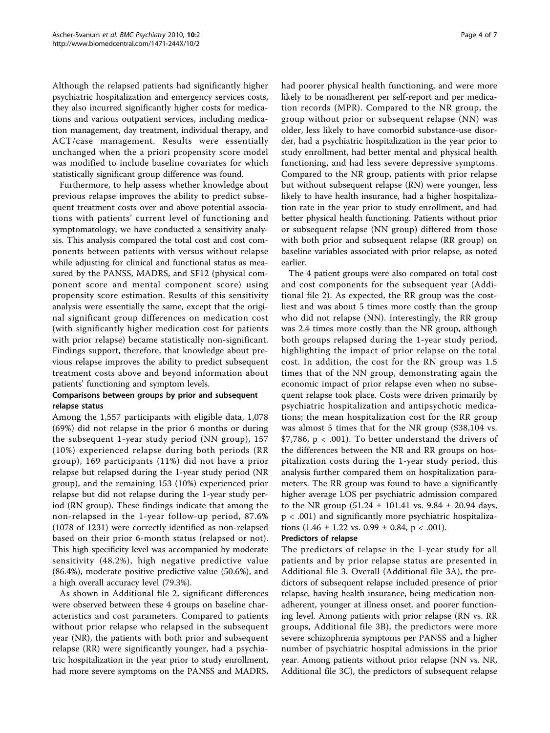Although the relapsed patients had significantly higher psychiatric hospitalization and emergency services costs, they also incurred significantly higher costs for medications and various outpatient services, including medication management, day treatment, individual therapy, and ACT/case management. Results were essentially unchanged when the a priori propensity score model was modified to include baseline covariates for which statistically significant group difference was found.

Furthermore, to help assess whether knowledge about previous relapse improves the ability to predict subsequent treatment costs over and above potential associations with patients' current level of functioning and symptomatology, we have conducted a sensitivity analysis. This analysis compared the total cost and cost components between patients with versus without relapse while adjusting for clinical and functional status as measured by the PANSS, MADRS, and SF12 (physical component score and mental component score) using propensity score estimation. Results of this sensitivity analysis were essentially the same, except that the original significant group differences on medication cost (with significantly higher medication cost for patients with prior relapse) became statistically non-significant. Findings support, therefore, that knowledge about previous relapse improves the ability to predict subsequent treatment costs above and beyond information about patients' functioning and symptom levels.

# Comparisons between groups by prior and subsequent relapse status

Among the 1,557 participants with eligible data, 1,078 (69%) did not relapse in the prior 6 months or during the subsequent 1-year study period (NN group), 157 (10%) experienced relapse during both periods (RR group), 169 participants (11%) did not have a prior relapse but relapsed during the 1-year study period (NR group), and the remaining 153 (10%) experienced prior relapse but did not relapse during the 1-year study period (RN group). These findings indicate that among the non-relapsed in the 1-year follow-up period, 87.6% (1078 of 1231) were correctly identified as non-relapsed based on their prior 6-month status (relapsed or not). This high specificity level was accompanied by moderate sensitivity (48.2%), high negative predictive value (86.4%), moderate positive predictive value (50.6%), and a high overall accuracy level (79.3%).

As shown in Additional file [2,](#page-5-0) significant differences were observed between these 4 groups on baseline characteristics and cost parameters. Compared to patients without prior relapse who relapsed in the subsequent year (NR), the patients with both prior and subsequent relapse (RR) were significantly younger, had a psychiatric hospitalization in the year prior to study enrollment, had more severe symptoms on the PANSS and MADRS, had poorer physical health functioning, and were more likely to be nonadherent per self-report and per medication records (MPR). Compared to the NR group, the group without prior or subsequent relapse (NN) was older, less likely to have comorbid substance-use disorder, had a psychiatric hospitalization in the year prior to study enrollment, had better mental and physical health functioning, and had less severe depressive symptoms. Compared to the NR group, patients with prior relapse but without subsequent relapse (RN) were younger, less likely to have health insurance, had a higher hospitalization rate in the year prior to study enrollment, and had better physical health functioning. Patients without prior or subsequent relapse (NN group) differed from those with both prior and subsequent relapse (RR group) on baseline variables associated with prior relapse, as noted earlier.

The 4 patient groups were also compared on total cost and cost components for the subsequent year (Additional file [2](#page-5-0)). As expected, the RR group was the costliest and was about 5 times more costly than the group who did not relapse (NN). Interestingly, the RR group was 2.4 times more costly than the NR group, although both groups relapsed during the 1-year study period, highlighting the impact of prior relapse on the total cost. In addition, the cost for the RN group was 1.5 times that of the NN group, demonstrating again the economic impact of prior relapse even when no subsequent relapse took place. Costs were driven primarily by psychiatric hospitalization and antipsychotic medications; the mean hospitalization cost for the RR group was almost 5 times that for the NR group (\$38,104 vs. \$7,786,  $p < .001$ ). To better understand the drivers of the differences between the NR and RR groups on hospitalization costs during the 1-year study period, this analysis further compared them on hospitalization parameters. The RR group was found to have a significantly higher average LOS per psychiatric admission compared to the NR group  $(51.24 \pm 101.41 \text{ vs. } 9.84 \pm 20.94 \text{ days})$ p < .001) and significantly more psychiatric hospitalizations  $(1.46 \pm 1.22 \text{ vs. } 0.99 \pm 0.84, \text{ p} < .001)$ .

# Predictors of relapse

The predictors of relapse in the 1-year study for all patients and by prior relapse status are presented in Additional file [3.](#page-5-0) Overall (Additional file [3A](#page-5-0)), the predictors of subsequent relapse included presence of prior relapse, having health insurance, being medication nonadherent, younger at illness onset, and poorer functioning level. Among patients with prior relapse (RN vs. RR groups, Additional file [3B](#page-5-0)), the predictors were more severe schizophrenia symptoms per PANSS and a higher number of psychiatric hospital admissions in the prior year. Among patients without prior relapse (NN vs. NR, Additional file [3C](#page-5-0)), the predictors of subsequent relapse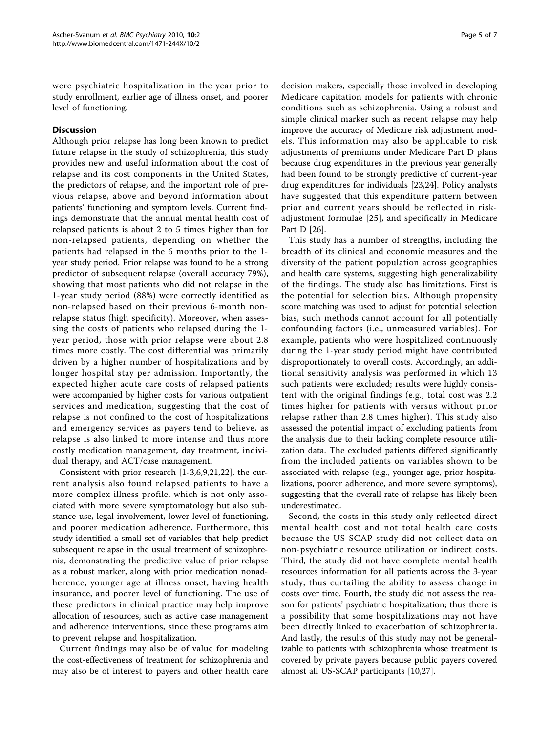were psychiatric hospitalization in the year prior to study enrollment, earlier age of illness onset, and poorer level of functioning.

# **Discussion**

Although prior relapse has long been known to predict future relapse in the study of schizophrenia, this study provides new and useful information about the cost of relapse and its cost components in the United States, the predictors of relapse, and the important role of previous relapse, above and beyond information about patients' functioning and symptom levels. Current findings demonstrate that the annual mental health cost of relapsed patients is about 2 to 5 times higher than for non-relapsed patients, depending on whether the patients had relapsed in the 6 months prior to the 1 year study period. Prior relapse was found to be a strong predictor of subsequent relapse (overall accuracy 79%), showing that most patients who did not relapse in the 1-year study period (88%) were correctly identified as non-relapsed based on their previous 6-month nonrelapse status (high specificity). Moreover, when assessing the costs of patients who relapsed during the 1 year period, those with prior relapse were about 2.8 times more costly. The cost differential was primarily driven by a higher number of hospitalizations and by longer hospital stay per admission. Importantly, the expected higher acute care costs of relapsed patients were accompanied by higher costs for various outpatient services and medication, suggesting that the cost of relapse is not confined to the cost of hospitalizations and emergency services as payers tend to believe, as relapse is also linked to more intense and thus more costly medication management, day treatment, individual therapy, and ACT/case management.

Consistent with prior research [\[1-3,6,9,21,22\]](#page-6-0), the current analysis also found relapsed patients to have a more complex illness profile, which is not only associated with more severe symptomatology but also substance use, legal involvement, lower level of functioning, and poorer medication adherence. Furthermore, this study identified a small set of variables that help predict subsequent relapse in the usual treatment of schizophrenia, demonstrating the predictive value of prior relapse as a robust marker, along with prior medication nonadherence, younger age at illness onset, having health insurance, and poorer level of functioning. The use of these predictors in clinical practice may help improve allocation of resources, such as active case management and adherence interventions, since these programs aim to prevent relapse and hospitalization.

Current findings may also be of value for modeling the cost-effectiveness of treatment for schizophrenia and may also be of interest to payers and other health care

decision makers, especially those involved in developing Medicare capitation models for patients with chronic conditions such as schizophrenia. Using a robust and simple clinical marker such as recent relapse may help improve the accuracy of Medicare risk adjustment models. This information may also be applicable to risk adjustments of premiums under Medicare Part D plans because drug expenditures in the previous year generally had been found to be strongly predictive of current-year drug expenditures for individuals [\[23,24](#page-6-0)]. Policy analysts have suggested that this expenditure pattern between prior and current years should be reflected in riskadjustment formulae [[25\]](#page-6-0), and specifically in Medicare Part D [\[26\]](#page-6-0).

This study has a number of strengths, including the breadth of its clinical and economic measures and the diversity of the patient population across geographies and health care systems, suggesting high generalizability of the findings. The study also has limitations. First is the potential for selection bias. Although propensity score matching was used to adjust for potential selection bias, such methods cannot account for all potentially confounding factors (i.e., unmeasured variables). For example, patients who were hospitalized continuously during the 1-year study period might have contributed disproportionately to overall costs. Accordingly, an additional sensitivity analysis was performed in which 13 such patients were excluded; results were highly consistent with the original findings (e.g., total cost was 2.2 times higher for patients with versus without prior relapse rather than 2.8 times higher). This study also assessed the potential impact of excluding patients from the analysis due to their lacking complete resource utilization data. The excluded patients differed significantly from the included patients on variables shown to be associated with relapse (e.g., younger age, prior hospitalizations, poorer adherence, and more severe symptoms), suggesting that the overall rate of relapse has likely been underestimated.

Second, the costs in this study only reflected direct mental health cost and not total health care costs because the US-SCAP study did not collect data on non-psychiatric resource utilization or indirect costs. Third, the study did not have complete mental health resources information for all patients across the 3-year study, thus curtailing the ability to assess change in costs over time. Fourth, the study did not assess the reason for patients' psychiatric hospitalization; thus there is a possibility that some hospitalizations may not have been directly linked to exacerbation of schizophrenia. And lastly, the results of this study may not be generalizable to patients with schizophrenia whose treatment is covered by private payers because public payers covered almost all US-SCAP participants [[10,27](#page-6-0)].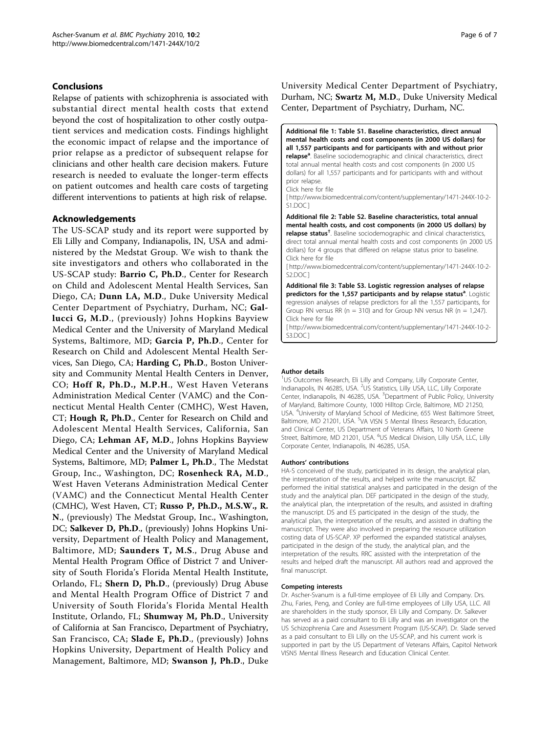# <span id="page-5-0"></span>Conclusions

Relapse of patients with schizophrenia is associated with substantial direct mental health costs that extend beyond the cost of hospitalization to other costly outpatient services and medication costs. Findings highlight the economic impact of relapse and the importance of prior relapse as a predictor of subsequent relapse for clinicians and other health care decision makers. Future research is needed to evaluate the longer-term effects on patient outcomes and health care costs of targeting different interventions to patients at high risk of relapse.

# Acknowledgements

The US-SCAP study and its report were supported by Eli Lilly and Company, Indianapolis, IN, USA and administered by the Medstat Group. We wish to thank the site investigators and others who collaborated in the US-SCAP study: Barrio C, Ph.D., Center for Research on Child and Adolescent Mental Health Services, San Diego, CA; Dunn LA, M.D., Duke University Medical Center Department of Psychiatry, Durham, NC; Gallucci G, M.D., (previously) Johns Hopkins Bayview Medical Center and the University of Maryland Medical Systems, Baltimore, MD; Garcia P, Ph.D., Center for Research on Child and Adolescent Mental Health Services, San Diego, CA; Harding C, Ph.D., Boston University and Community Mental Health Centers in Denver, CO; Hoff R, Ph.D., M.P.H., West Haven Veterans Administration Medical Center (VAMC) and the Connecticut Mental Health Center (CMHC), West Haven, CT; Hough R, Ph.D., Center for Research on Child and Adolescent Mental Health Services, California, San Diego, CA; Lehman AF, M.D., Johns Hopkins Bayview Medical Center and the University of Maryland Medical Systems, Baltimore, MD; Palmer L, Ph.D., The Medstat Group, Inc., Washington, DC; Rosenheck RA, M.D., West Haven Veterans Administration Medical Center (VAMC) and the Connecticut Mental Health Center (CMHC), West Haven, CT; Russo P, Ph.D., M.S.W., R. N., (previously) The Medstat Group, Inc., Washington, DC; Salkever D, Ph.D., (previously) Johns Hopkins University, Department of Health Policy and Management, Baltimore, MD; Saunders T, M.S., Drug Abuse and Mental Health Program Office of District 7 and University of South Florida's Florida Mental Health Institute, Orlando, FL; Shern D, Ph.D., (previously) Drug Abuse and Mental Health Program Office of District 7 and University of South Florida's Florida Mental Health Institute, Orlando, FL; Shumway M, Ph.D., University of California at San Francisco, Department of Psychiatry, San Francisco, CA; Slade E, Ph.D., (previously) Johns Hopkins University, Department of Health Policy and Management, Baltimore, MD; Swanson J, Ph.D., Duke

University Medical Center Department of Psychiatry, Durham, NC; Swartz M, M.D., Duke University Medical Center, Department of Psychiatry, Durham, NC.

Additional file 1: Table S1. Baseline characteristics, direct annual mental health costs and cost components (in 2000 US dollars) for all 1,557 participants and for participants with and without prior relapse<sup>a</sup>. Baseline sociodemographic and clinical characteristics, direct total annual mental health costs and cost components (in 2000 US dollars) for all 1,557 participants and for participants with and without prior relapse.

Click here for file

[ http://www.biomedcentral.com/content/supplementary/1471-244X-10-2- S1.DOC ]

Additional file 2: Table S2. Baseline characteristics, total annual mental health costs, and cost components (in 2000 US dollars) by relapse status<sup>†</sup>. Baseline sociodemographic and clinical characteristics direct total annual mental health costs and cost components (in 2000 US dollars) for 4 groups that differed on relapse status prior to baseline. Click here for file

[ http://www.biomedcentral.com/content/supplementary/1471-244X-10-2- S2.DOC ]

Additional file 3: Table S3. Logistic regression analyses of relapse predictors for the 1,557 participants and by relapse status<sup>a</sup>. Logistic regression analyses of relapse predictors for all the 1,557 participants, for Group RN versus RR ( $n = 310$ ) and for Group NN versus NR ( $n = 1,247$ ). Click here for file

[ http://www.biomedcentral.com/content/supplementary/1471-244X-10-2- S3.DOC ]

### Author details

<sup>1</sup>US Outcomes Research, Eli Lilly and Company, Lilly Corporate Center, Indianapolis, IN 46285, USA. <sup>2</sup>US Statistics, Lilly USA, LLC, Lilly Corporate Center, Indianapolis, IN 46285, USA. <sup>3</sup>Department of Public Policy, University of Maryland, Baltimore County, 1000 Hilltop Circle, Baltimore, MD 21250, USA. <sup>4</sup> University of Maryland School of Medicine, 655 West Baltimore Street, Baltimore, MD 21201, USA. <sup>5</sup>VA VISN 5 Mental Illness Research, Education and Clinical Center, US Department of Veterans Affairs, 10 North Greene Street, Baltimore, MD 21201, USA. <sup>6</sup>US Medical Division, Lilly USA, LLC, Lilly Corporate Center, Indianapolis, IN 46285, USA.

#### Authors' contributions

HA-S conceived of the study, participated in its design, the analytical plan, the interpretation of the results, and helped write the manuscript. BZ performed the initial statistical analyses and participated in the design of the study and the analytical plan. DEF participated in the design of the study, the analytical plan, the interpretation of the results, and assisted in drafting the manuscript. DS and ES participated in the design of the study, the analytical plan, the interpretation of the results, and assisted in drafting the manuscript. They were also involved in preparing the resource utilization costing data of US-SCAP. XP performed the expanded statistical analyses, participated in the design of the study, the analytical plan, and the interpretation of the results. RRC assisted with the interpretation of the results and helped draft the manuscript. All authors read and approved the final manuscript.

#### Competing interests

Dr. Ascher-Svanum is a full-time employee of Eli Lilly and Company. Drs. Zhu, Faries, Peng, and Conley are full-time employees of Lilly USA, LLC. All are shareholders in the study sponsor, Eli Lilly and Company. Dr. Salkever has served as a paid consultant to Eli Lilly and was an investigator on the US Schizophrenia Care and Assessment Program (US-SCAP). Dr. Slade served as a paid consultant to Eli Lilly on the US-SCAP, and his current work is supported in part by the US Department of Veterans Affairs, Capitol Network VISN5 Mental Illness Research and Education Clinical Center.